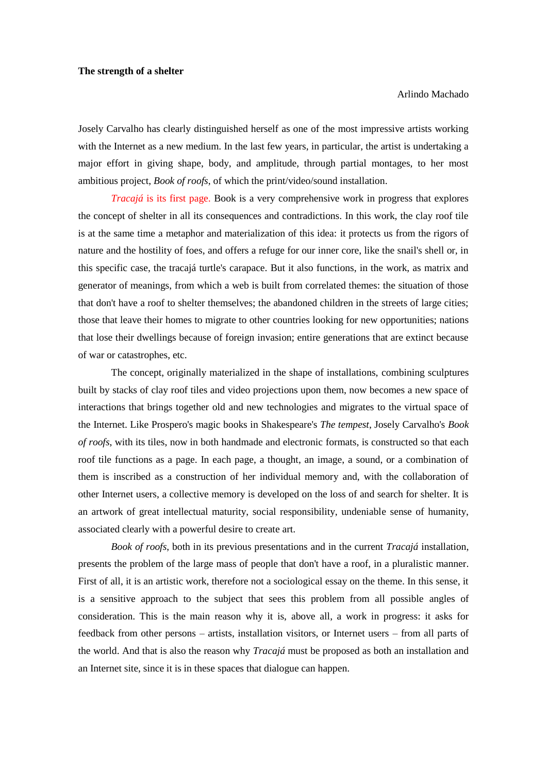## **The strength of a shelter**

Josely Carvalho has clearly distinguished herself as one of the most impressive artists working with the Internet as a new medium. In the last few years, in particular, the artist is undertaking a major effort in giving shape, body, and amplitude, through partial montages, to her most ambitious project, *Book of roofs*, of which the print/video/sound installation.

*Tracajá* is its first page. Book is a very comprehensive work in progress that explores the concept of shelter in all its consequences and contradictions. In this work, the clay roof tile is at the same time a metaphor and materialization of this idea: it protects us from the rigors of nature and the hostility of foes, and offers a refuge for our inner core, like the snail's shell or, in this specific case, the tracajá turtle's carapace. But it also functions, in the work, as matrix and generator of meanings, from which a web is built from correlated themes: the situation of those that don't have a roof to shelter themselves; the abandoned children in the streets of large cities; those that leave their homes to migrate to other countries looking for new opportunities; nations that lose their dwellings because of foreign invasion; entire generations that are extinct because of war or catastrophes, etc.

The concept, originally materialized in the shape of installations, combining sculptures built by stacks of clay roof tiles and video projections upon them, now becomes a new space of interactions that brings together old and new technologies and migrates to the virtual space of the Internet. Like Prospero's magic books in Shakespeare's *The tempest*, Josely Carvalho's *Book of roofs*, with its tiles, now in both handmade and electronic formats, is constructed so that each roof tile functions as a page. In each page, a thought, an image, a sound, or a combination of them is inscribed as a construction of her individual memory and, with the collaboration of other Internet users, a collective memory is developed on the loss of and search for shelter. It is an artwork of great intellectual maturity, social responsibility, undeniable sense of humanity, associated clearly with a powerful desire to create art.

*Book of roofs*, both in its previous presentations and in the current *Tracajá* installation, presents the problem of the large mass of people that don't have a roof, in a pluralistic manner. First of all, it is an artistic work, therefore not a sociological essay on the theme. In this sense, it is a sensitive approach to the subject that sees this problem from all possible angles of consideration. This is the main reason why it is, above all, a work in progress: it asks for feedback from other persons – artists, installation visitors, or Internet users – from all parts of the world. And that is also the reason why *Tracajá* must be proposed as both an installation and an Internet site, since it is in these spaces that dialogue can happen.